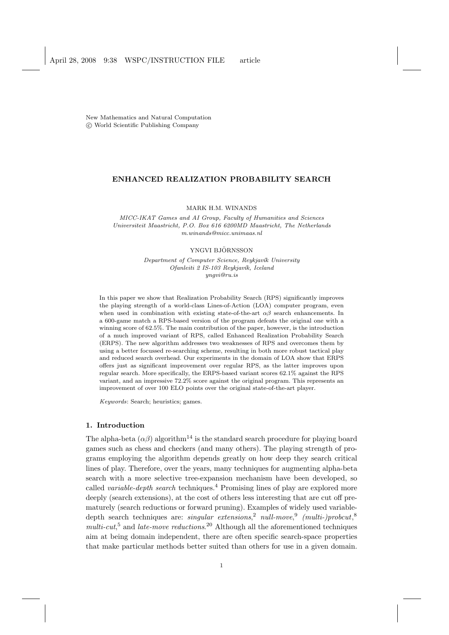New Mathematics and Natural Computation °c World Scientific Publishing Company

# ENHANCED REALIZATION PROBABILITY SEARCH

MARK H.M. WINANDS

MICC-IKAT Games and AI Group, Faculty of Humanities and Sciences Universiteit Maastricht, P.O. Box 616 6200MD Maastricht, The Netherlands m.winands@micc.unimaas.nl

#### YNGVI BJÖRNSSON

Department of Computer Science, Reykjavík University Ofanleiti 2 IS-103 Reykjavík, Iceland yngvi@ru.is

In this paper we show that Realization Probability Search (RPS) significantly improves the playing strength of a world-class Lines-of-Action (LOA) computer program, even when used in combination with existing state-of-the-art  $\alpha\beta$  search enhancements. In a 600-game match a RPS-based version of the program defeats the original one with a winning score of 62.5%. The main contribution of the paper, however, is the introduction of a much improved variant of RPS, called Enhanced Realization Probability Search (ERPS). The new algorithm addresses two weaknesses of RPS and overcomes them by using a better focussed re-searching scheme, resulting in both more robust tactical play and reduced search overhead. Our experiments in the domain of LOA show that ERPS offers just as significant improvement over regular RPS, as the latter improves upon regular search. More specifically, the ERPS-based variant scores 62.1% against the RPS variant, and an impressive 72.2% score against the original program. This represents an improvement of over 100 ELO points over the original state-of-the-art player.

Keywords: Search; heuristics; games.

# 1. Introduction

The alpha-beta  $(\alpha\beta)$  algorithm<sup>14</sup> is the standard search procedure for playing board games such as chess and checkers (and many others). The playing strength of programs employing the algorithm depends greatly on how deep they search critical lines of play. Therefore, over the years, many techniques for augmenting alpha-beta search with a more selective tree-expansion mechanism have been developed, so called *variable-depth search* techniques.<sup>4</sup> Promising lines of play are explored more deeply (search extensions), at the cost of others less interesting that are cut off prematurely (search reductions or forward pruning). Examples of widely used variabledepth search techniques are: *singular extensions*,<sup>2</sup> *null-move*,<sup>9</sup> *(multi-)probcut*,<sup>8</sup>  $multi-cut<sub>2</sub>$ <sup>5</sup> and *late-move reductions*.<sup>20</sup> Although all the aforementioned techniques aim at being domain independent, there are often specific search-space properties that make particular methods better suited than others for use in a given domain.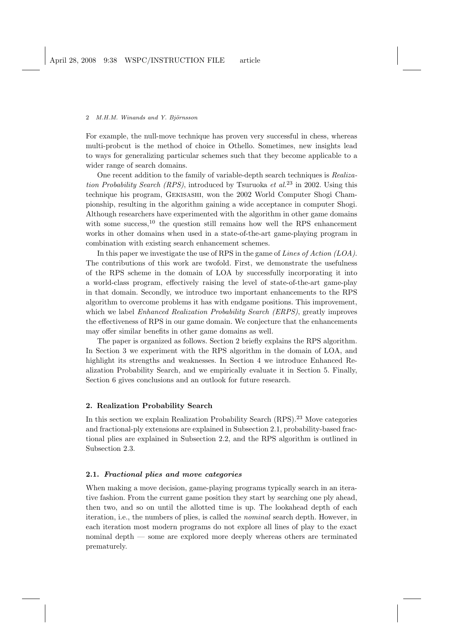For example, the null-move technique has proven very successful in chess, whereas multi-probcut is the method of choice in Othello. Sometimes, new insights lead to ways for generalizing particular schemes such that they become applicable to a wider range of search domains.

One recent addition to the family of variable-depth search techniques is Realization Probability Search (RPS), introduced by Tsuruoka et al.<sup>23</sup> in 2002. Using this technique his program, Gekisashi, won the 2002 World Computer Shogi Championship, resulting in the algorithm gaining a wide acceptance in computer Shogi. Although researchers have experimented with the algorithm in other game domains with some success, $^{10}$  the question still remains how well the RPS enhancement works in other domains when used in a state-of-the-art game-playing program in combination with existing search enhancement schemes.

In this paper we investigate the use of RPS in the game of Lines of Action  $(LOA)$ . The contributions of this work are twofold. First, we demonstrate the usefulness of the RPS scheme in the domain of LOA by successfully incorporating it into a world-class program, effectively raising the level of state-of-the-art game-play in that domain. Secondly, we introduce two important enhancements to the RPS algorithm to overcome problems it has with endgame positions. This improvement, which we label *Enhanced Realization Probability Search (ERPS)*, greatly improves the effectiveness of RPS in our game domain. We conjecture that the enhancements may offer similar benefits in other game domains as well.

The paper is organized as follows. Section 2 briefly explains the RPS algorithm. In Section 3 we experiment with the RPS algorithm in the domain of LOA, and highlight its strengths and weaknesses. In Section 4 we introduce Enhanced Realization Probability Search, and we empirically evaluate it in Section 5. Finally, Section 6 gives conclusions and an outlook for future research.

### 2. Realization Probability Search

In this section we explain Realization Probability Search  $(RPS)$ .<sup>23</sup> Move categories and fractional-ply extensions are explained in Subsection 2.1, probability-based fractional plies are explained in Subsection 2.2, and the RPS algorithm is outlined in Subsection 2.3.

# 2.1. Fractional plies and move categories

When making a move decision, game-playing programs typically search in an iterative fashion. From the current game position they start by searching one ply ahead, then two, and so on until the allotted time is up. The lookahead depth of each iteration, i.e., the numbers of plies, is called the nominal search depth. However, in each iteration most modern programs do not explore all lines of play to the exact nominal depth — some are explored more deeply whereas others are terminated prematurely.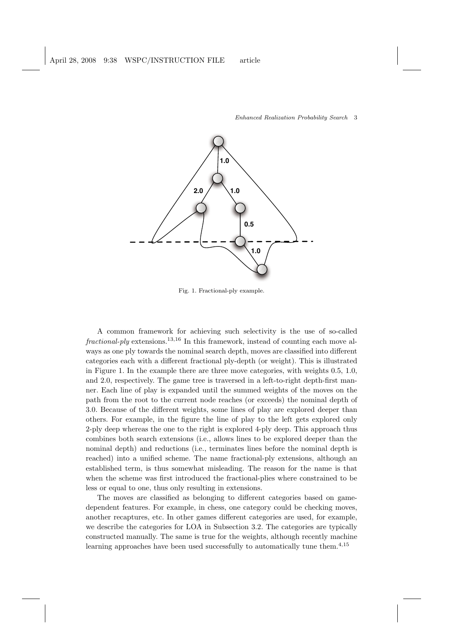

Fig. 1. Fractional-ply example.

A common framework for achieving such selectivity is the use of so-called  $fractional$ -ply extensions.<sup>13,16</sup> In this framework, instead of counting each move always as one ply towards the nominal search depth, moves are classified into different categories each with a different fractional ply-depth (or weight). This is illustrated in Figure 1. In the example there are three move categories, with weights 0.5, 1.0, and 2.0, respectively. The game tree is traversed in a left-to-right depth-first manner. Each line of play is expanded until the summed weights of the moves on the path from the root to the current node reaches (or exceeds) the nominal depth of 3.0. Because of the different weights, some lines of play are explored deeper than others. For example, in the figure the line of play to the left gets explored only 2-ply deep whereas the one to the right is explored 4-ply deep. This approach thus combines both search extensions (i.e., allows lines to be explored deeper than the nominal depth) and reductions (i.e., terminates lines before the nominal depth is reached) into a unified scheme. The name fractional-ply extensions, although an established term, is thus somewhat misleading. The reason for the name is that when the scheme was first introduced the fractional-plies where constrained to be less or equal to one, thus only resulting in extensions.

The moves are classified as belonging to different categories based on gamedependent features. For example, in chess, one category could be checking moves, another recaptures, etc. In other games different categories are used, for example, we describe the categories for LOA in Subsection 3.2. The categories are typically constructed manually. The same is true for the weights, although recently machine learning approaches have been used successfully to automatically tune them.<sup>4,15</sup>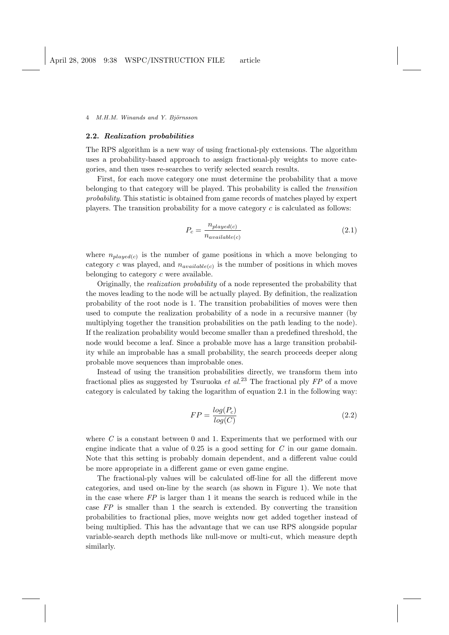### 2.2. Realization probabilities

The RPS algorithm is a new way of using fractional-ply extensions. The algorithm uses a probability-based approach to assign fractional-ply weights to move categories, and then uses re-searches to verify selected search results.

First, for each move category one must determine the probability that a move belonging to that category will be played. This probability is called the transition probability. This statistic is obtained from game records of matches played by expert players. The transition probability for a move category  $c$  is calculated as follows:

$$
P_c = \frac{n_{played(c)}}{n_{available(c)}}\tag{2.1}
$$

where  $n_{played(c)}$  is the number of game positions in which a move belonging to category c was played, and  $n_{available(c)}$  is the number of positions in which moves belonging to category c were available.

Originally, the realization probability of a node represented the probability that the moves leading to the node will be actually played. By definition, the realization probability of the root node is 1. The transition probabilities of moves were then used to compute the realization probability of a node in a recursive manner (by multiplying together the transition probabilities on the path leading to the node). If the realization probability would become smaller than a predefined threshold, the node would become a leaf. Since a probable move has a large transition probability while an improbable has a small probability, the search proceeds deeper along probable move sequences than improbable ones.

Instead of using the transition probabilities directly, we transform them into fractional plies as suggested by Tsuruoka *et al.*<sup>23</sup> The fractional ply  $FP$  of a move category is calculated by taking the logarithm of equation 2.1 in the following way:

$$
FP = \frac{log(P_c)}{log(C)}\tag{2.2}
$$

where  $C$  is a constant between 0 and 1. Experiments that we performed with our engine indicate that a value of  $0.25$  is a good setting for  $C$  in our game domain. Note that this setting is probably domain dependent, and a different value could be more appropriate in a different game or even game engine.

The fractional-ply values will be calculated off-line for all the different move categories, and used on-line by the search (as shown in Figure 1). We note that in the case where  $FP$  is larger than 1 it means the search is reduced while in the case FP is smaller than 1 the search is extended. By converting the transition probabilities to fractional plies, move weights now get added together instead of being multiplied. This has the advantage that we can use RPS alongside popular variable-search depth methods like null-move or multi-cut, which measure depth similarly.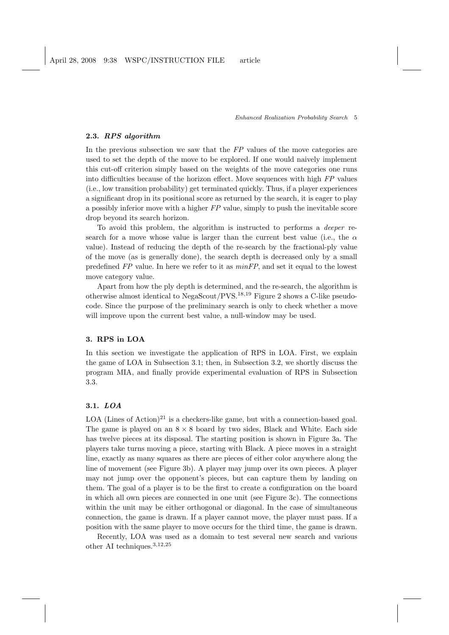# 2.3. RPS algorithm

In the previous subsection we saw that the FP values of the move categories are used to set the depth of the move to be explored. If one would naively implement this cut-off criterion simply based on the weights of the move categories one runs into difficulties because of the horizon effect. Move sequences with high FP values (i.e., low transition probability) get terminated quickly. Thus, if a player experiences a significant drop in its positional score as returned by the search, it is eager to play a possibly inferior move with a higher FP value, simply to push the inevitable score drop beyond its search horizon.

To avoid this problem, the algorithm is instructed to performs a deeper research for a move whose value is larger than the current best value (i.e., the  $\alpha$ value). Instead of reducing the depth of the re-search by the fractional-ply value of the move (as is generally done), the search depth is decreased only by a small predefined FP value. In here we refer to it as minFP, and set it equal to the lowest move category value.

Apart from how the ply depth is determined, and the re-search, the algorithm is otherwise almost identical to NegaScout/PVS.<sup>18</sup>,<sup>19</sup> Figure 2 shows a C-like pseudocode. Since the purpose of the preliminary search is only to check whether a move will improve upon the current best value, a null-window may be used.

### 3. RPS in LOA

In this section we investigate the application of RPS in LOA. First, we explain the game of LOA in Subsection 3.1; then, in Subsection 3.2, we shortly discuss the program MIA, and finally provide experimental evaluation of RPS in Subsection 3.3.

## 3.1. LOA

LOA (Lines of Action)<sup>21</sup> is a checkers-like game, but with a connection-based goal. The game is played on an  $8 \times 8$  board by two sides, Black and White. Each side has twelve pieces at its disposal. The starting position is shown in Figure 3a. The players take turns moving a piece, starting with Black. A piece moves in a straight line, exactly as many squares as there are pieces of either color anywhere along the line of movement (see Figure 3b). A player may jump over its own pieces. A player may not jump over the opponent's pieces, but can capture them by landing on them. The goal of a player is to be the first to create a configuration on the board in which all own pieces are connected in one unit (see Figure 3c). The connections within the unit may be either orthogonal or diagonal. In the case of simultaneous connection, the game is drawn. If a player cannot move, the player must pass. If a position with the same player to move occurs for the third time, the game is drawn.

Recently, LOA was used as a domain to test several new search and various other AI techniques.<sup>3</sup>,12,<sup>25</sup>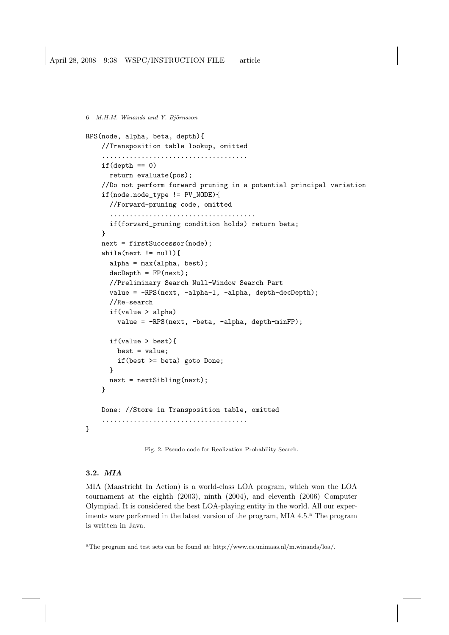6 M.H.M. Winands and Y. Björnsson RPS(node, alpha, beta, depth){ //Transposition table lookup, omitted .....................................  $if(depth == 0)$ return evaluate(pos); //Do not perform forward pruning in a potential principal variation if(node.node\_type != PV\_NODE){ //Forward-pruning code, omitted ..................................... if(forward\_pruning condition holds) return beta; } next = firstSuccessor(node);  $while(newt != null)$ { alpha = max(alpha, best);  $decDepth = FP(next)$ ; //Preliminary Search Null-Window Search Part value = -RPS(next, -alpha-1, -alpha, depth-decDepth); //Re-search if(value > alpha) value = -RPS(next, -beta, -alpha, depth-minFP); if(value > best){ best = value; if(best >= beta) goto Done; } next = nextSibling(next); } Done: //Store in Transposition table, omitted ..................................... }

Fig. 2. Pseudo code for Realization Probability Search.

## 3.2. MIA

MIA (Maastricht In Action) is a world-class LOA program, which won the LOA tournament at the eighth (2003), ninth (2004), and eleventh (2006) Computer Olympiad. It is considered the best LOA-playing entity in the world. All our experiments were performed in the latest version of the program, MIA  $4.5<sup>a</sup>$ . The program is written in Java.

<sup>a</sup>The program and test sets can be found at: http://www.cs.unimaas.nl/m.winands/loa/.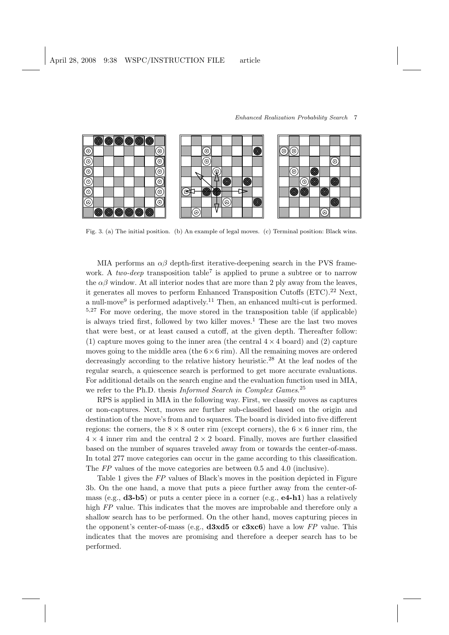

Enhanced Realization Probability Search 7

Fig. 3. (a) The initial position. (b) An example of legal moves. (c) Terminal position: Black wins.

MIA performs an  $\alpha\beta$  depth-first iterative-deepening search in the PVS framework. A two-deep transposition table<sup>7</sup> is applied to prune a subtree or to narrow the  $\alpha\beta$  window. At all interior nodes that are more than 2 ply away from the leaves, it generates all moves to perform Enhanced Transposition Cutoffs (ETC).<sup>22</sup> Next, a null-move<sup>9</sup> is performed adaptively.<sup>11</sup> Then, an enhanced multi-cut is performed. <sup>5</sup>,<sup>27</sup> For move ordering, the move stored in the transposition table (if applicable) is always tried first, followed by two killer moves.<sup>1</sup> These are the last two moves that were best, or at least caused a cutoff, at the given depth. Thereafter follow: (1) capture moves going to the inner area (the central  $4 \times 4$  board) and (2) capture moves going to the middle area (the  $6\times 6$  rim). All the remaining moves are ordered decreasingly according to the relative history heuristic.<sup>28</sup> At the leaf nodes of the regular search, a quiescence search is performed to get more accurate evaluations. For additional details on the search engine and the evaluation function used in MIA, we refer to the Ph.D. thesis *Informed Search in Complex Games*.<sup>25</sup>

RPS is applied in MIA in the following way. First, we classify moves as captures or non-captures. Next, moves are further sub-classified based on the origin and destination of the move's from and to squares. The board is divided into five different regions: the corners, the  $8 \times 8$  outer rim (except corners), the  $6 \times 6$  inner rim, the  $4 \times 4$  inner rim and the central  $2 \times 2$  board. Finally, moves are further classified based on the number of squares traveled away from or towards the center-of-mass. In total 277 move categories can occur in the game according to this classification. The FP values of the move categories are between 0.5 and 4.0 (inclusive).

Table 1 gives the FP values of Black's moves in the position depicted in Figure 3b. On the one hand, a move that puts a piece further away from the center-ofmass (e.g.,  $d3-b5$ ) or puts a center piece in a corner (e.g.,  $e4-h1$ ) has a relatively high FP value. This indicates that the moves are improbable and therefore only a shallow search has to be performed. On the other hand, moves capturing pieces in the opponent's center-of-mass (e.g.,  $\frac{d3x}{5}$  or  $\frac{c3x}{6}$ ) have a low FP value. This indicates that the moves are promising and therefore a deeper search has to be performed.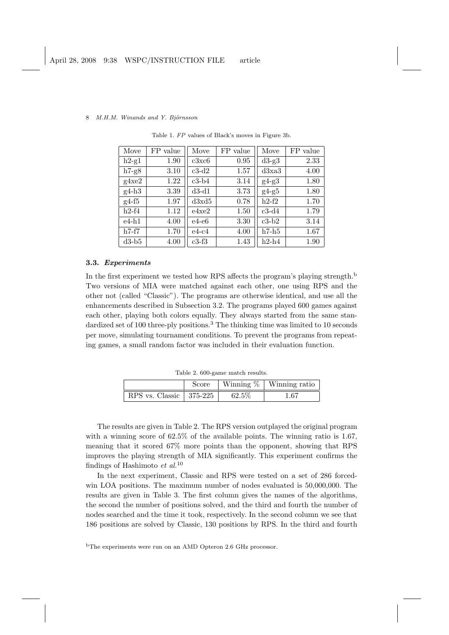| Move    | FP value | Move    | FP value | Move    | FP value |
|---------|----------|---------|----------|---------|----------|
| $h2-g1$ | 1.90     | c3xc6   | 0.95     | $d3-g3$ | 2.33     |
| $h7-g8$ | 3.10     | $c3-d2$ | 1.57     | d3xa3   | 4.00     |
| g4xe2   | 1.22     | $c3-b4$ | 3.14     | $g4-g3$ | 1.80     |
| $g4-h3$ | 3.39     | $d3-d1$ | 3.73     | $g4-g5$ | 1.80     |
| $g4-f5$ | 1.97     | d3x d5  | 0.78     | $h2-f2$ | 1.70     |
| $h2-f4$ | 1.12     | e4xe2   | 1.50     | $c3-d4$ | 1.79     |
| $e4-h1$ | 4.00     | e4-e6   | 3.30     | $c3-b2$ | 3.14     |
| $h7-f7$ | 1.70     | $e4-c4$ | 4.00     | $h7-h5$ | 1.67     |
| $d3-b5$ | 4.00     | $c3-f3$ | 1.43     | $h2-h4$ | 1.90     |

Table 1. FP values of Black's moves in Figure 3b.

# 3.3. Experiments

In the first experiment we tested how RPS affects the program's playing strength.<sup>b</sup> Two versions of MIA were matched against each other, one using RPS and the other not (called "Classic"). The programs are otherwise identical, and use all the enhancements described in Subsection 3.2. The programs played 600 games against each other, playing both colors equally. They always started from the same standardized set of 100 three-ply positions.<sup>3</sup> The thinking time was limited to 10 seconds per move, simulating tournament conditions. To prevent the programs from repeating games, a small random factor was included in their evaluation function.

Table 2. 600-game match results.

|                           | Score |          | Winning $\%$   Winning ratio |
|---------------------------|-------|----------|------------------------------|
| RPS vs. Classic   375-225 |       | $62.5\%$ | 1.67                         |

The results are given in Table 2. The RPS version outplayed the original program with a winning score of  $62.5\%$  of the available points. The winning ratio is 1.67, meaning that it scored 67% more points than the opponent, showing that RPS improves the playing strength of MIA significantly. This experiment confirms the findings of Hashimoto et  $al$ <sup>10</sup>

In the next experiment, Classic and RPS were tested on a set of 286 forcedwin LOA positions. The maximum number of nodes evaluated is 50,000,000. The results are given in Table 3. The first column gives the names of the algorithms, the second the number of positions solved, and the third and fourth the number of nodes searched and the time it took, respectively. In the second column we see that 186 positions are solved by Classic, 130 positions by RPS. In the third and fourth

<sup>b</sup>The experiments were run on an AMD Opteron 2.6 GHz processor.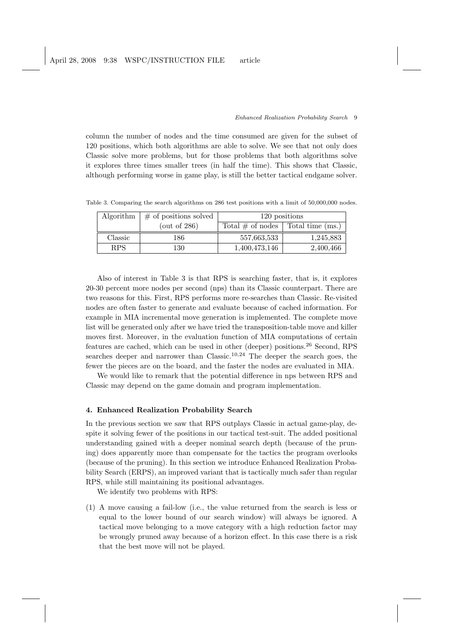column the number of nodes and the time consumed are given for the subset of 120 positions, which both algorithms are able to solve. We see that not only does Classic solve more problems, but for those problems that both algorithms solve it explores three times smaller trees (in half the time). This shows that Classic, although performing worse in game play, is still the better tactical endgame solver.

Table 3. Comparing the search algorithms on 286 test positions with a limit of 50,000,000 nodes.

| Algorithm  | $\#$ of positions solved | 120 positions                          |           |
|------------|--------------------------|----------------------------------------|-----------|
|            | (out of $286$ )          | Total $\#$ of nodes   Total time (ms.) |           |
| Classic    | 186                      | 557,663,533                            | 1,245,883 |
| <b>RPS</b> | 130                      | 1,400,473,146                          | 2,400,466 |

Also of interest in Table 3 is that RPS is searching faster, that is, it explores 20-30 percent more nodes per second (nps) than its Classic counterpart. There are two reasons for this. First, RPS performs more re-searches than Classic. Re-visited nodes are often faster to generate and evaluate because of cached information. For example in MIA incremental move generation is implemented. The complete move list will be generated only after we have tried the transposition-table move and killer moves first. Moreover, in the evaluation function of MIA computations of certain features are cached, which can be used in other (deeper) positions.<sup>26</sup> Second, RPS searches deeper and narrower than Classic.<sup>10,24</sup> The deeper the search goes, the fewer the pieces are on the board, and the faster the nodes are evaluated in MIA.

We would like to remark that the potential difference in nps between RPS and Classic may depend on the game domain and program implementation.

### 4. Enhanced Realization Probability Search

In the previous section we saw that RPS outplays Classic in actual game-play, despite it solving fewer of the positions in our tactical test-suit. The added positional understanding gained with a deeper nominal search depth (because of the pruning) does apparently more than compensate for the tactics the program overlooks (because of the pruning). In this section we introduce Enhanced Realization Probability Search (ERPS), an improved variant that is tactically much safer than regular RPS, while still maintaining its positional advantages.

We identify two problems with RPS:

(1) A move causing a fail-low (i.e., the value returned from the search is less or equal to the lower bound of our search window) will always be ignored. A tactical move belonging to a move category with a high reduction factor may be wrongly pruned away because of a horizon effect. In this case there is a risk that the best move will not be played.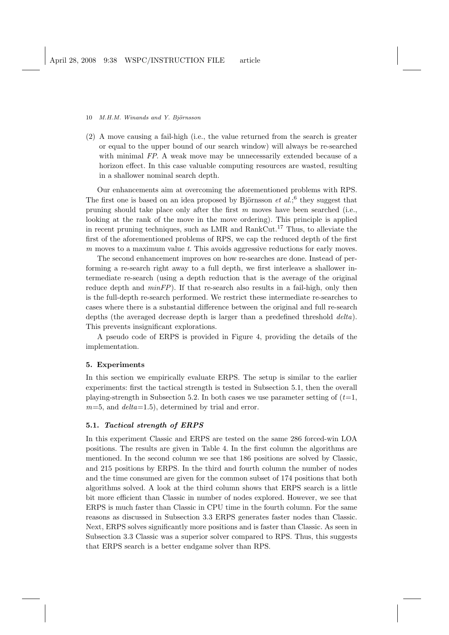(2) A move causing a fail-high (i.e., the value returned from the search is greater or equal to the upper bound of our search window) will always be re-searched with minimal FP. A weak move may be unnecessarily extended because of a horizon effect. In this case valuable computing resources are wasted, resulting in a shallower nominal search depth.

Our enhancements aim at overcoming the aforementioned problems with RPS. The first one is based on an idea proposed by Björnsson  $et al.^6$  they suggest that pruning should take place only after the first  $m$  moves have been searched (i.e., looking at the rank of the move in the move ordering). This principle is applied in recent pruning techniques, such as LMR and RankCut.<sup>17</sup> Thus, to alleviate the first of the aforementioned problems of RPS, we cap the reduced depth of the first m moves to a maximum value t. This avoids aggressive reductions for early moves.

The second enhancement improves on how re-searches are done. Instead of performing a re-search right away to a full depth, we first interleave a shallower intermediate re-search (using a depth reduction that is the average of the original reduce depth and  $minFP$ ). If that re-search also results in a fail-high, only then is the full-depth re-search performed. We restrict these intermediate re-searches to cases where there is a substantial difference between the original and full re-search depths (the averaged decrease depth is larger than a predefined threshold delta). This prevents insignificant explorations.

A pseudo code of ERPS is provided in Figure 4, providing the details of the implementation.

### 5. Experiments

In this section we empirically evaluate ERPS. The setup is similar to the earlier experiments: first the tactical strength is tested in Subsection 5.1, then the overall playing-strength in Subsection 5.2. In both cases we use parameter setting of  $(t=1,$  $m=5$ , and  $delta=1.5$ ), determined by trial and error.

# 5.1. Tactical strength of ERPS

In this experiment Classic and ERPS are tested on the same 286 forced-win LOA positions. The results are given in Table 4. In the first column the algorithms are mentioned. In the second column we see that 186 positions are solved by Classic, and 215 positions by ERPS. In the third and fourth column the number of nodes and the time consumed are given for the common subset of 174 positions that both algorithms solved. A look at the third column shows that ERPS search is a little bit more efficient than Classic in number of nodes explored. However, we see that ERPS is much faster than Classic in CPU time in the fourth column. For the same reasons as discussed in Subsection 3.3 ERPS generates faster nodes than Classic. Next, ERPS solves significantly more positions and is faster than Classic. As seen in Subsection 3.3 Classic was a superior solver compared to RPS. Thus, this suggests that ERPS search is a better endgame solver than RPS.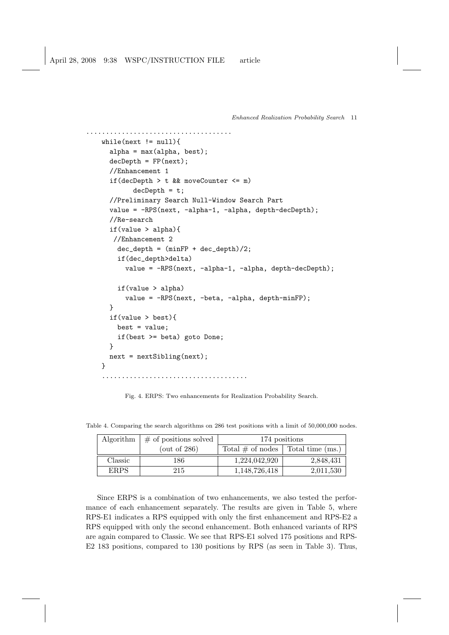```
Enhanced Realization Probability Search 11
```

```
.....................................
while(next != null){
  alpha = max(alpha, best);
  decDepth = FP(next);//Enhancement 1
  if(decDepth > t && moveCounter <= m)
         decDepth = t;//Preliminary Search Null-Window Search Part
  value = -RPS(next, -alpha-1, -alpha, depth-decDepth);
  //Re-search
  if(value > alpha){
   //Enhancement 2
    dec_{\text{depth}} = (minFP + dec_{\text{depth}})/2;if(dec_depth>delta)
      value = -RPS(next, -alpha-1, -alpha, depth-decDepth);
    if(value > alpha)
      value = -RPS(next, -beta, -alpha, depth-minFP);
  }
  if(value > best){
    best = value;
    if(best >= beta) goto Done;
  }
  next = nextSibling(next);
}
.....................................
```
Fig. 4. ERPS: Two enhancements for Realization Probability Search.

| Algorithm   | $\#$ of positions solved | 174 positions                          |           |
|-------------|--------------------------|----------------------------------------|-----------|
|             | $($ out of 286 $)$       | Total $\#$ of nodes   Total time (ms.) |           |
| Classic     | 186                      | 1,224,042,920                          | 2,848,431 |
| <b>ERPS</b> | 215                      | 1,148,726,418                          | 2,011,530 |

Table 4. Comparing the search algorithms on 286 test positions with a limit of 50,000,000 nodes.

Since ERPS is a combination of two enhancements, we also tested the performance of each enhancement separately. The results are given in Table 5, where RPS-E1 indicates a RPS equipped with only the first enhancement and RPS-E2 a RPS equipped with only the second enhancement. Both enhanced variants of RPS are again compared to Classic. We see that RPS-E1 solved 175 positions and RPS-E2 183 positions, compared to 130 positions by RPS (as seen in Table 3). Thus,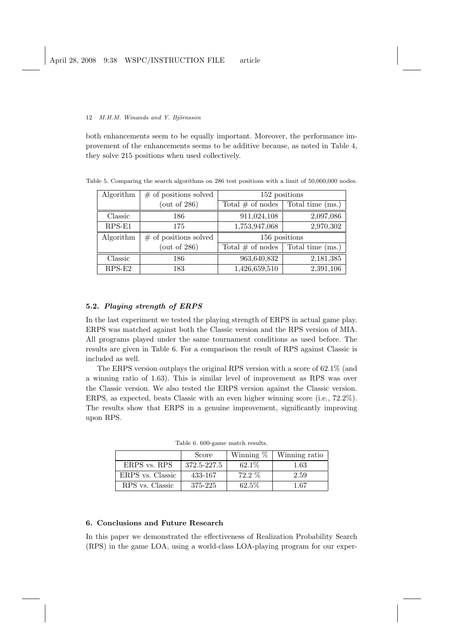both enhancements seem to be equally important. Moreover, the performance improvement of the enhancements seems to be additive because, as noted in Table 4, they solve 215 positions when used collectively.

Table 5. Comparing the search algorithms on 286 test positions with a limit of 50,000,000 nodes.

| Algorithm | $#$ of positions solved | 152 positions       |                  |
|-----------|-------------------------|---------------------|------------------|
|           | $($ out of 286 $)$      | Total $\#$ of nodes | Total time (ms.) |
| Classic   | 186                     | 911,024,108         | 2,097,086        |
| $RPS-E1$  | 175                     | 1,753,947,068       | 2,970,302        |
|           |                         | 156 positions       |                  |
| Algorithm | $#$ of positions solved |                     |                  |
|           | $($ out of 286 $)$      | Total $#$ of nodes  | Total time (ms.) |
| Classic   | 186                     | 963,640,832         | 2,181,385        |

# 5.2. Playing strength of ERPS

In the last experiment we tested the playing strength of ERPS in actual game play. ERPS was matched against both the Classic version and the RPS version of MIA. All programs played under the same tournament conditions as used before. The results are given in Table 6. For a comparison the result of RPS against Classic is included as well.

The ERPS version outplays the original RPS version with a score of 62.1% (and a winning ratio of 1.63). This is similar level of improvement as RPS was over the Classic version. We also tested the ERPS version against the Classic version. ERPS, as expected, beats Classic with an even higher winning score (i.e.,  $72.2\%$ ). The results show that ERPS in a genuine improvement, significantly improving upon RPS.

|                  | Score       | Winning $\%$ | Winning ratio |
|------------------|-------------|--------------|---------------|
| ERPS vs. RPS     | 372.5-227.5 | $62.1\%$     | 1.63          |
| ERPS vs. Classic | 433-167     | $72.2\%$     | 2.59          |
| RPS vs. Classic  | 375-225     | 62.5%        | 1.67          |

Table 6. 600-game match results.

# 6. Conclusions and Future Research

In this paper we demonstrated the effectiveness of Realization Probability Search (RPS) in the game LOA, using a world-class LOA-playing program for our exper-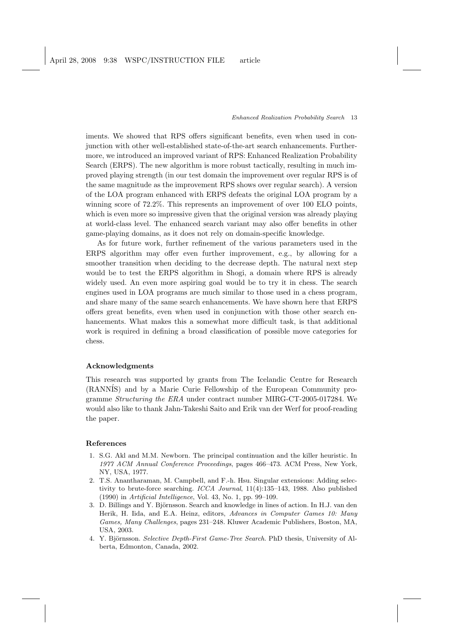iments. We showed that RPS offers significant benefits, even when used in conjunction with other well-established state-of-the-art search enhancements. Furthermore, we introduced an improved variant of RPS: Enhanced Realization Probability Search (ERPS). The new algorithm is more robust tactically, resulting in much improved playing strength (in our test domain the improvement over regular RPS is of the same magnitude as the improvement RPS shows over regular search). A version of the LOA program enhanced with ERPS defeats the original LOA program by a winning score of 72.2%. This represents an improvement of over 100 ELO points, which is even more so impressive given that the original version was already playing at world-class level. The enhanced search variant may also offer benefits in other game-playing domains, as it does not rely on domain-specific knowledge.

As for future work, further refinement of the various parameters used in the ERPS algorithm may offer even further improvement, e.g., by allowing for a smoother transition when deciding to the decrease depth. The natural next step would be to test the ERPS algorithm in Shogi, a domain where RPS is already widely used. An even more aspiring goal would be to try it in chess. The search engines used in LOA programs are much similar to those used in a chess program, and share many of the same search enhancements. We have shown here that ERPS offers great benefits, even when used in conjunction with those other search enhancements. What makes this a somewhat more difficult task, is that additional work is required in defining a broad classification of possible move categories for chess.

### Acknowledgments

This research was supported by grants from The Icelandic Centre for Research (RANN´IS) and by a Marie Curie Fellowship of the European Community programme Structuring the ERA under contract number MIRG-CT-2005-017284. We would also like to thank Jahn-Takeshi Saito and Erik van der Werf for proof-reading the paper.

### References

- 1. S.G. Akl and M.M. Newborn. The principal continuation and the killer heuristic. In 1977 ACM Annual Conference Proceedings, pages 466–473. ACM Press, New York, NY, USA, 1977.
- 2. T.S. Anantharaman, M. Campbell, and F.-h. Hsu. Singular extensions: Adding selectivity to brute-force searching. ICCA Journal, 11(4):135–143, 1988. Also published (1990) in Artificial Intelligence, Vol. 43, No. 1, pp. 99–109.
- 3. D. Billings and Y. Björnsson. Search and knowledge in lines of action. In H.J. van den Herik, H. Iida, and E.A. Heinz, editors, Advances in Computer Games 10: Many Games, Many Challenges, pages 231–248. Kluwer Academic Publishers, Boston, MA, USA, 2003.
- 4. Y. Björnsson. Selective Depth-First Game-Tree Search. PhD thesis, University of Alberta, Edmonton, Canada, 2002.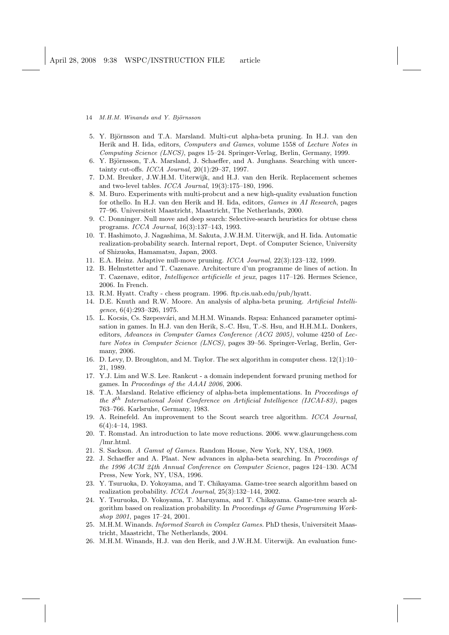- 14 M.H.M. Winands and Y. Björnsson
- 5. Y. Björnsson and T.A. Marsland. Multi-cut alpha-beta pruning. In H.J. van den Herik and H. Iida, editors, Computers and Games, volume 1558 of Lecture Notes in Computing Science (LNCS), pages 15–24. Springer-Verlag, Berlin, Germany, 1999.
- 6. Y. Björnsson, T.A. Marsland, J. Schaeffer, and A. Junghans. Searching with uncertainty cut-offs. ICCA Journal, 20(1):29–37, 1997.
- 7. D.M. Breuker, J.W.H.M. Uiterwijk, and H.J. van den Herik. Replacement schemes and two-level tables. ICCA Journal, 19(3):175–180, 1996.
- 8. M. Buro. Experiments with multi-probcut and a new high-quality evaluation function for othello. In H.J. van den Herik and H. Iida, editors, Games in AI Research, pages 77–96. Universiteit Maastricht, Maastricht, The Netherlands, 2000.
- 9. C. Donninger. Null move and deep search: Selective-search heuristics for obtuse chess programs. ICCA Journal, 16(3):137–143, 1993.
- 10. T. Hashimoto, J. Nagashima, M. Sakuta, J.W.H.M. Uiterwijk, and H. Iida. Automatic realization-probability search. Internal report, Dept. of Computer Science, University of Shizuoka, Hamamatsu, Japan, 2003.
- 11. E.A. Heinz. Adaptive null-move pruning. ICCA Journal, 22(3):123–132, 1999.
- 12. B. Helmstetter and T. Cazenave. Architecture d'un programme de lines of action. In T. Cazenave, editor, Intelligence artificielle et jeux, pages 117–126. Hermes Science, 2006. In French.
- 13. R.M. Hyatt. Crafty chess program. 1996. ftp.cis.uab.edu/pub/hyatt.
- 14. D.E. Knuth and R.W. Moore. An analysis of alpha-beta pruning. Artificial Intelligence, 6(4):293–326, 1975.
- 15. L. Kocsis, Cs. Szepesvári, and M.H.M. Winands. Rspsa: Enhanced parameter optimisation in games. In H.J. van den Herik, S.-C. Hsu, T.-S. Hsu, and H.H.M.L. Donkers, editors, Advances in Computer Games Conference (ACG 2005), volume 4250 of Lecture Notes in Computer Science (LNCS), pages 39–56. Springer-Verlag, Berlin, Germany, 2006.
- 16. D. Levy, D. Broughton, and M. Taylor. The sex algorithm in computer chess. 12(1):10– 21, 1989.
- 17. Y.J. Lim and W.S. Lee. Rankcut a domain independent forward pruning method for games. In Proceedings of the AAAI 2006, 2006.
- 18. T.A. Marsland. Relative efficiency of alpha-beta implementations. In Proceedings of the  $8<sup>th</sup> International Joint Conference on Artificial Intelligence (IJCAI-83)$ , pages 763–766. Karlsruhe, Germany, 1983.
- 19. A. Reinefeld. An improvement to the Scout search tree algorithm. ICCA Journal, 6(4):4–14, 1983.
- 20. T. Romstad. An introduction to late move reductions. 2006. www.glaurungchess.com /lmr.html.
- 21. S. Sackson. A Gamut of Games. Random House, New York, NY, USA, 1969.
- 22. J. Schaeffer and A. Plaat. New advances in alpha-beta searching. In Proceedings of the 1996 ACM 24th Annual Conference on Computer Science, pages 124–130. ACM Press, New York, NY, USA, 1996.
- 23. Y. Tsuruoka, D. Yokoyama, and T. Chikayama. Game-tree search algorithm based on realization probability. ICGA Journal, 25(3):132–144, 2002.
- 24. Y. Tsuruoka, D. Yokoyama, T. Maruyama, and T. Chikayama. Game-tree search algorithm based on realization probability. In Proceedings of Game Programming Workshop 2001, pages 17–24, 2001.
- 25. M.H.M. Winands. Informed Search in Complex Games. PhD thesis, Universiteit Maastricht, Maastricht, The Netherlands, 2004.
- 26. M.H.M. Winands, H.J. van den Herik, and J.W.H.M. Uiterwijk. An evaluation func-